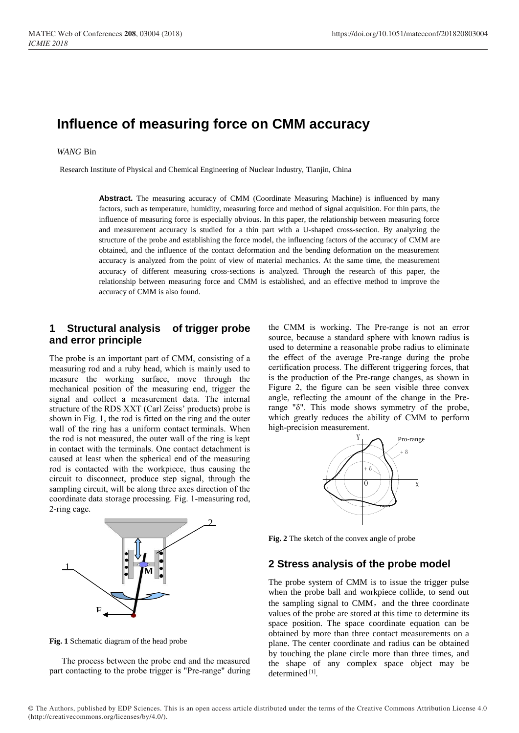# **Influence of measuring force on CMM accuracy**

## *WANG* Bin

Research Institute of Physical and Chemical Engineering of Nuclear Industry, Tianjin, China

Abstract. The measuring accuracy of CMM (Coordinate Measuring Machine) is influenced by many factors, such as temperature, humidity, measuring force and method of signal acquisition. For thin parts, the influence of measuring force is especially obvious. In this paper, the relationship between measuring force and measurement accuracy is studied for a thin part with a U-shaped cross-section. By analyzing the structure of the probe and establishing the force model, the influencing factors of the accuracy of CMM are obtained, and the influence of the contact deformation and the bending deformation on the measurement accuracy is analyzed from the point of view of material mechanics. At the same time, the measurement accuracy of different measuring cross-sections is analyzed. Through the research of this paper, the relationship between measuring force and CMM is established, and an effective method to improve the accuracy of CMM is also found.

# **1 Structural analysis of trigger probe and error principle**

The probe is an important part of CMM, consisting of a measuring rod and a ruby head, which is mainly used to measure the working surface, move through the mechanical position of the measuring end, trigger the signal and collect a measurement data. The internal structure of the RDS XXT (Carl Zeiss' products) probe is shown in Fig. 1, the rod is fitted on the ring and the outer wall of the ring has a uniform contact terminals. When the rod is not measured, the outer wall of the ring is kept in contact with the terminals. One contact detachment is caused at least when the spherical end of the measuring rod is contacted with the workpiece, thus causing the circuit to disconnect, produce step signal, through the sampling circuit, will be along three axes direction of the coordinate data storage processing. Fig. 1-measuring rod, 2-ring cage.

**M** 1  $\overline{\mathbf{c}}$ 

**Fig. 1** Schematic diagram of the head probe

**F**

The process between the probe end and the measured part contacting to the probe trigger is "Pre-range" during the CMM is working. The Pre-range is not an error source, because a standard sphere with known radius is used to determine a reasonable probe radius to eliminate the effect of the average Pre-range during the probe certification process. The different triggering forces, that is the production of the Pre-range changes, as shown in Figure 2, the figure can be seen visible three convex angle, reflecting the amount of the change in the Prerange "δ". This mode shows symmetry of the probe, which greatly reduces the ability of CMM to perform high-precision measurement.



**Fig. 2** The sketch of the convex angle of probe

# **2 Stress analysis of the probe model**

The probe system of CMM is to issue the trigger pulse when the probe ball and workpiece collide, to send out the sampling signal to CMM, and the three coordinate values of the probe are stored at this time to determine its space position. The space coordinate equation can be obtained by more than three contact measurements on a plane. The center coordinate and radius can be obtained by touching the plane circle more than three times, and the shape of any complex space object may be determined [1].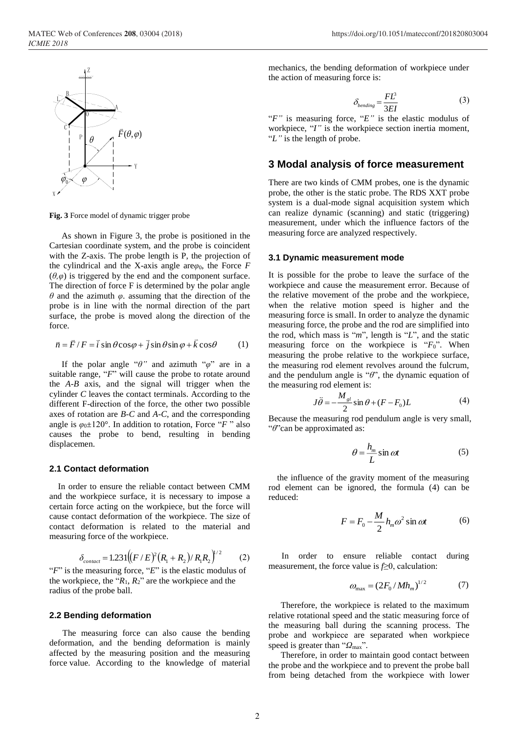

**Fig. 3** Force model of dynamic trigger probe

As shown in Figure 3, the probe is positioned in the Cartesian coordinate system, and the probe is coincident with the Z-axis. The probe length is P, the projection of the cylindrical and the X-axis angle are $\varphi_0$ , the Force *F*  $(\theta, \varphi)$  is triggered by the end and the component surface. The direction of force F is determined by the polar angle *θ* and the azimuth *φ*. assuming that the direction of the probe is in line with the normal direction of the part surface, the probe is moved along the direction of the force.

$$
\vec{n} = \vec{F}/F = \vec{i} \sin \theta \cos \varphi + \vec{j} \sin \theta \sin \varphi + \vec{k} \cos \theta
$$
 (1)

If the polar angle "*θ"* and azimuth "*φ*" are in a suitable range, "*F*" will cause the probe to rotate around the *A-B* axis, and the signal will trigger when the cylinder *C* leaves the contact terminals. According to the different F-direction of the force, the other two possible axes of rotation are *B-C* and *A-C*, and the corresponding angle is  $\varphi_0 \pm 120^\circ$ . In addition to rotation, Force "*F*" also causes the probe to bend, resulting in bending displacemen.

#### **2.1 Contact deformation**

In order to ensure the reliable contact between CMM and the workpiece surface, it is necessary to impose a certain force acting on the workpiece, but the force will cause contact deformation of the workpiece. The size of contact deformation is related to the material and measuring force of the workpiece.

$$
\delta_{contact} = 1.231 \left( (F/E)^2 (R_1 + R_2) / R_1 R_2 \right)^{1/2} \tag{2}
$$

"*F*" is the measuring force, "*E*" is the elastic modulus of the workpiece, the " $R_1$ ,  $R_2$ " are the workpiece and the radius of the probe ball.

#### **2.2 Bending deformation**

The measuring force can also cause the bending deformation, and the bending deformation is mainly affected by the measuring position and the measuring force value. According to the knowledge of material mechanics, the bending deformation of workpiece under the action of measuring force is:

$$
\delta_{bending} = \frac{FL^3}{3EI} \tag{3}
$$

"*F"* is measuring force, "*E"* is the elastic modulus of workpiece, "*I"* is the workpiece section inertia moment, "*L"* is the length of probe.

# **3 Modal analysis of force measurement**

There are two kinds of CMM probes, one is the dynamic probe, the other is the static probe. The RDS XXT probe system is a dual-mode signal acquisition system which can realize dynamic (scanning) and static (triggering) measurement, under which the influence factors of the measuring force are analyzed respectively.

#### **3.1 Dynamic measurement mode**

It is possible for the probe to leave the surface of the workpiece and cause the measurement error. Because of the relative movement of the probe and the workpiece, when the relative motion speed is higher and the measuring force is small. In order to analyze the dynamic measuring force, the probe and the rod are simplified into the rod, which mass is "*m*", length is "*L*", and the static measuring force on the workpiece is "*F*0". When measuring the probe relative to the workpiece surface, the measuring rod element revolves around the fulcrum, and the pendulum angle is "*θ*", the dynamic equation of the measuring rod element is:

$$
J\ddot{\theta} = -\frac{M_{sl}}{2}\sin\theta + (F - F_0)L\tag{4}
$$

Because the measuring rod pendulum angle is very small, "*θ*"can be approximated as:

$$
\theta = \frac{h_m}{L} \sin \omega t \tag{5}
$$

the influence of the gravity moment of the measuring rod element can be ignored, the formula (4) can be reduced:

$$
F = F_0 - \frac{M}{2} h_m \omega^2 \sin \omega t \tag{6}
$$

In order to ensure reliable contact during measurement, the force value is *f*≥0, calculation:

$$
\omega_{\text{max}} = (2F_0 / M h_m)^{1/2} \tag{7}
$$

Therefore, the workpiece is related to the maximum relative rotational speed and the static measuring force of the measuring ball during the scanning process. The probe and workpiece are separated when workpiece speed is greater than "*Ω*<sub>max</sub>".

Therefore, in order to maintain good contact between the probe and the workpiece and to prevent the probe ball from being detached from the workpiece with lower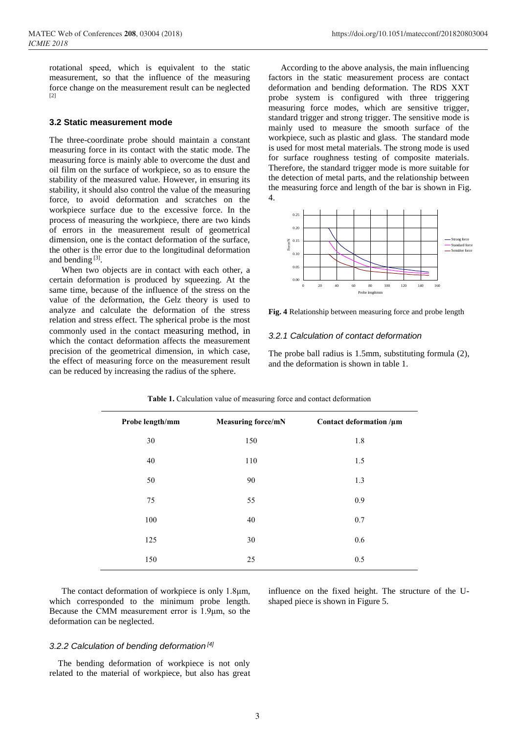rotational speed, which is equivalent to the static measurement, so that the influence of the measuring force change on the measurement result can be neglected [2]

## **3.2 Static measurement mode**

The three-coordinate probe should maintain a constant measuring force in its contact with the static mode. The measuring force is mainly able to overcome the dust and oil film on the surface of workpiece, so as to ensure the stability of the measured value. However, in ensuring its stability, it should also control the value of the measuring force, to avoid deformation and scratches on the workpiece surface due to the excessive force. In the process of measuring the workpiece, there are two kinds of errors in the measurement result of geometrical dimension, one is the contact deformation of the surface, the other is the error due to the longitudinal deformation and bending [3].

When two objects are in contact with each other, a certain deformation is produced by squeezing. At the same time, because of the influence of the stress on the value of the deformation, the Gelz theory is used to analyze and calculate the deformation of the stress relation and stress effect. The spherical probe is the most commonly used in the contact measuring method, in which the contact deformation affects the measurement precision of the geometrical dimension, in which case, the effect of measuring force on the measurement result can be reduced by increasing the radius of the sphere.

According to the above analysis, the main influencing factors in the static measurement process are contact deformation and bending deformation. The RDS XXT probe system is configured with three triggering measuring force modes, which are sensitive trigger, standard trigger and strong trigger. The sensitive mode is mainly used to measure the smooth surface of the workpiece, such as plastic and glass. The standard mode is used for most metal materials. The strong mode is used for surface roughness testing of composite materials. Therefore, the standard trigger mode is more suitable for the detection of metal parts, and the relationship between the measuring force and length of the bar is shown in Fig. 4.



**Fig. 4** Relationship between measuring force and probe length

#### *3.2.1 Calculation of contact deformation*

The probe ball radius is 1.5mm, substituting formula (2), and the deformation is shown in table 1.

| Probe length/mm | <b>Measuring force/mN</b> | Contact deformation /µm |
|-----------------|---------------------------|-------------------------|
| 30              | 150                       | 1.8                     |
| 40              | 110                       | 1.5                     |
| 50              | 90                        | 1.3                     |
| 75              | 55                        | 0.9                     |
| 100             | 40                        | 0.7                     |
| 125             | 30                        | 0.6                     |
| 150             | 25                        | 0.5                     |
|                 |                           |                         |

**Table 1.** Calculation value of measuring force and contact deformation

The contact deformation of workpiece is only 1.8μm, which corresponded to the minimum probe length. Because the CMM measurement error is 1.9μm, so the deformation can be neglected.

#### *3.2.2 Calculation of bending deformation [4]*

The bending deformation of workpiece is not only related to the material of workpiece, but also has great influence on the fixed height. The structure of the Ushaped piece is shown in Figure 5.